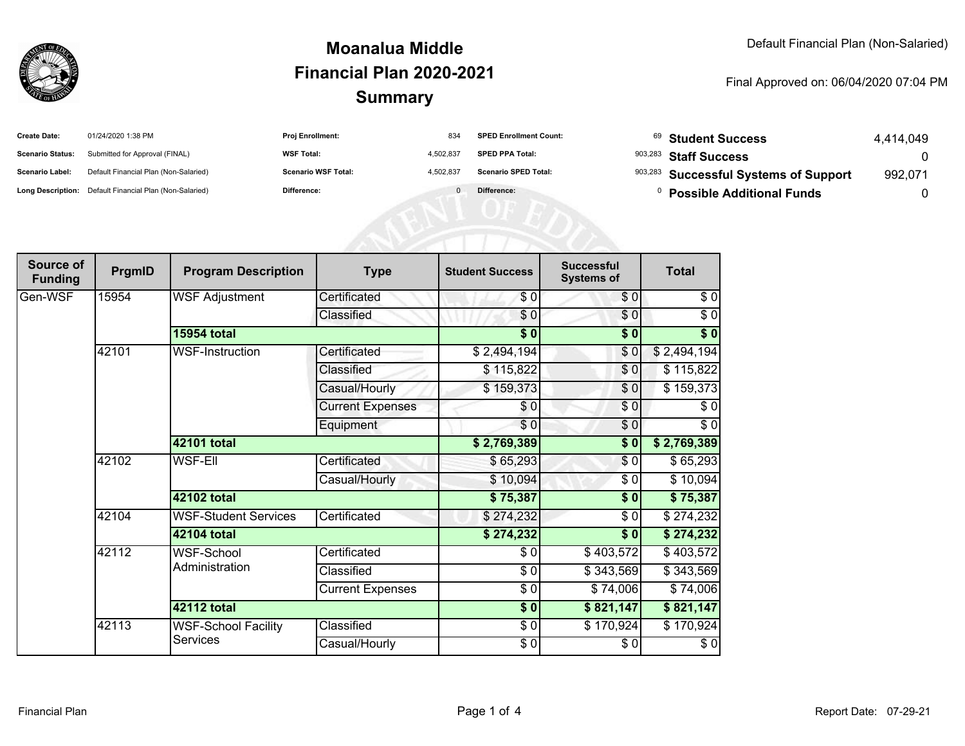

#### **SummaryMoanalua MiddleFinancial Plan 2020-2021**

#### Final Approved on: 06/04/2020 07:04 PM

| <b>Create Date:</b>     | 01/24/2020 1:38 PM                                      | Proj Enrollment:           | 834       | <b>SPED Enrollment Count:</b> | <sup>69</sup> Student Success         | 4,414,049 |
|-------------------------|---------------------------------------------------------|----------------------------|-----------|-------------------------------|---------------------------------------|-----------|
| <b>Scenario Status:</b> | Submitted for Approval (FINAL)                          | <b>WSF Total:</b>          | 4,502,837 | <b>SPED PPA Total:</b>        | 903,283 Staff Success                 | 0         |
| Scenario Label:         | Default Financial Plan (Non-Salaried)                   | <b>Scenario WSF Total:</b> | 4,502,837 | <b>Scenario SPED Total:</b>   | 903,283 Successful Systems of Support | 992,071   |
|                         | Long Description: Default Financial Plan (Non-Salaried) | Difference:                |           | Difference:                   | <b>Possible Additional Funds</b>      | 0         |
|                         |                                                         |                            |           |                               |                                       |           |
|                         |                                                         |                            |           |                               |                                       |           |
|                         |                                                         |                            |           |                               |                                       |           |

| Source of<br><b>Funding</b> | PrgmID | <b>Program Description</b>          | <b>Type</b>             | <b>Student Success</b> | <b>Successful</b><br><b>Systems of</b> | <b>Total</b>     |
|-----------------------------|--------|-------------------------------------|-------------------------|------------------------|----------------------------------------|------------------|
| Gen-WSF                     | 15954  | <b>WSF Adjustment</b>               | Certificated            | \$0                    | \$0                                    | \$0              |
|                             |        |                                     | Classified              | \$0                    | \$0                                    | $\sqrt{6}$       |
|                             |        | <b>15954 total</b>                  |                         | $\overline{\$0}$       | \$0                                    | $\overline{\$0}$ |
|                             | 42101  | <b>WSF-Instruction</b>              | Certificated            | \$2,494,194            | \$0                                    | \$2,494,194      |
|                             |        |                                     | Classified              | \$115,822              | \$0                                    | \$115,822        |
|                             |        |                                     | Casual/Hourly           | \$159,373              | \$0                                    | \$159,373        |
|                             |        |                                     | <b>Current Expenses</b> | \$0                    | \$0                                    | \$0              |
|                             |        |                                     | Equipment               | \$0                    | $\sqrt{6}$                             | \$0              |
|                             |        | 42101 total                         |                         | \$2,769,389            | \$0                                    | \$2,769,389      |
|                             | 42102  | <b>WSF-EII</b>                      | Certificated            | \$65,293               | \$0                                    | \$65,293         |
|                             |        |                                     | Casual/Hourly           | \$10,094               | \$0                                    | \$10,094         |
|                             |        | 42102 total                         |                         | \$75,387               | \$0                                    | \$75,387         |
|                             | 42104  | <b>WSF-Student Services</b>         | Certificated            | \$274,232              | $\sqrt{6}$                             | \$274,232        |
|                             |        | <b>42104 total</b>                  |                         | \$274,232              | \$0                                    | \$274,232        |
|                             | 42112  | <b>WSF-School</b><br>Administration | Certificated            | \$0                    | \$403,572                              | \$403,572        |
|                             |        |                                     | Classified              | \$0                    | \$343,569                              | \$343,569        |
|                             |        |                                     | <b>Current Expenses</b> | \$0                    | \$74,006                               | \$74,006         |
|                             |        | 42112 total                         |                         | $\sqrt{6}$             | \$821,147                              | \$821,147        |
|                             | 42113  | <b>WSF-School Facility</b>          | Classified              | \$0                    | \$170,924                              | \$170,924        |
|                             |        | <b>Services</b>                     | Casual/Hourly           | \$0                    | \$0                                    | \$0              |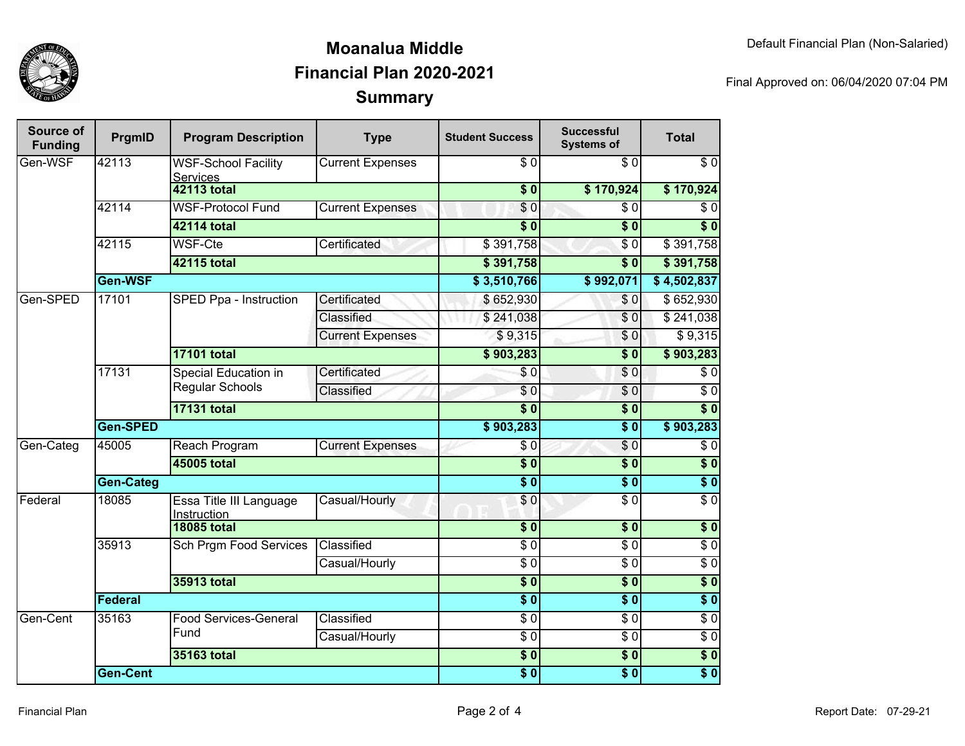

## **SummaryMoanalua MiddleFinancial Plan 2020-2021**

Final Approved on: 06/04/2020 07:04 PM

| Source of<br><b>Funding</b> | PrgmID             | <b>Program Description</b>                     | <b>Type</b>                                                   | <b>Student Success</b>               | <b>Successful</b><br><b>Systems of</b> | <b>Total</b>     |                  |
|-----------------------------|--------------------|------------------------------------------------|---------------------------------------------------------------|--------------------------------------|----------------------------------------|------------------|------------------|
| Gen-WSF                     | 42113              | <b>WSF-School Facility</b><br><b>Services</b>  | <b>Current Expenses</b>                                       | $\overline{\$0}$                     | $\overline{\$0}$                       | $\overline{\$0}$ |                  |
|                             |                    | <b>42113 total</b>                             |                                                               | $\overline{\$0}$                     | \$170,924                              | \$170,924        |                  |
|                             | 42114              | <b>WSF-Protocol Fund</b>                       | <b>Current Expenses</b>                                       | $\sqrt{6}$                           | $\overline{\$0}$                       | $\overline{\$0}$ |                  |
|                             |                    | 42114 total                                    |                                                               | $\overline{\$0}$                     | $\overline{\$0}$                       | $\overline{\$0}$ |                  |
|                             | 42115              | <b>WSF-Cte</b>                                 | Certificated                                                  | \$391,758                            | $\overline{\$0}$                       | \$391,758        |                  |
|                             |                    | 42115 total                                    |                                                               | \$391,758                            | $\overline{\$}0$                       | \$391,758        |                  |
|                             | Gen-WSF            |                                                |                                                               | \$3,510,766                          | \$992,071                              | \$4,502,837      |                  |
| Gen-SPED                    | 17101              | SPED Ppa - Instruction                         | Certificated                                                  | \$652,930                            | \$0                                    | \$652,930        |                  |
|                             |                    |                                                | Classified                                                    | \$241,038                            | $\overline{\$0}$                       | \$241,038        |                  |
|                             |                    |                                                | <b>Current Expenses</b>                                       | \$9,315                              | \$0                                    | \$9,315          |                  |
|                             |                    | <b>17101 total</b>                             |                                                               | \$903,283                            | $\overline{\$0}$                       | \$903,283        |                  |
|                             | 17131              | <b>Special Education in</b><br>Regular Schools | Certificated                                                  | \$0                                  | $\overline{\$0}$                       | $\overline{\$0}$ |                  |
|                             |                    |                                                | Classified                                                    | $\overline{\$0}$                     | $\overline{\$0}$                       | $\overline{30}$  |                  |
|                             | <b>17131 total</b> |                                                |                                                               | $\overline{\$0}$                     | $\sqrt{6}$                             | $\overline{\$0}$ |                  |
|                             | Gen-SPED           |                                                |                                                               | \$903,283                            | $\overline{\$0}$                       | \$903,283        |                  |
| Gen-Categ                   | 45005              | Reach Program                                  | <b>Current Expenses</b>                                       | \$0                                  | $\overline{\$0}$                       | $\overline{\$0}$ |                  |
|                             |                    | <b>45005 total</b>                             |                                                               | $\overline{\$}0$                     | $\overline{\textbf{50}}$               | $\overline{\$0}$ |                  |
|                             | <b>Gen-Categ</b>   |                                                |                                                               | $\overline{\$0}$                     | $\overline{\$0}$                       | $\overline{\$0}$ |                  |
| Federal                     | 18085              | Essa Title III Language<br>Instruction         | Casual/Hourly                                                 | \$0                                  | $\overline{\$0}$                       | $\overline{\$0}$ |                  |
|                             |                    | <b>18085 total</b>                             |                                                               | $\overline{\$0}$                     | $\overline{\$0}$                       | $\overline{\$}0$ |                  |
|                             | 35913              | <b>Sch Prgm Food Services</b>                  | Classified                                                    | $\overline{\$0}$                     | $\sqrt{6}$                             | \$0              |                  |
|                             |                    |                                                | Casual/Hourly                                                 | $\overline{\$0}$                     | $\overline{30}$                        | $\overline{60}$  |                  |
|                             |                    | 35913 total                                    |                                                               | $\overline{\$0}$<br>$\overline{\$0}$ | $\overline{\$0}$                       | $\overline{\$0}$ |                  |
|                             | Federal            |                                                |                                                               |                                      | $\overline{\$0}$                       | $\overline{\$0}$ |                  |
| Gen-Cent                    | 35163              |                                                | <b>Food Services-General</b>                                  | Classified                           | $\overline{30}$                        | $\overline{30}$  | $\overline{$}$ 0 |
|                             |                    | Fund                                           | Casual/Hourly                                                 | $\overline{\$0}$                     | $\sqrt{6}$                             | $\overline{60}$  |                  |
|                             |                    | 35163 total                                    |                                                               | $\overline{\$0}$                     | $\overline{\$0}$                       | $\overline{\$0}$ |                  |
|                             | <b>Gen-Cent</b>    |                                                | $\overline{\boldsymbol{\mathsf{s}}\ \boldsymbol{\mathsf{0}}}$ | $\overline{\$0}$                     | $\overline{\$0}$                       |                  |                  |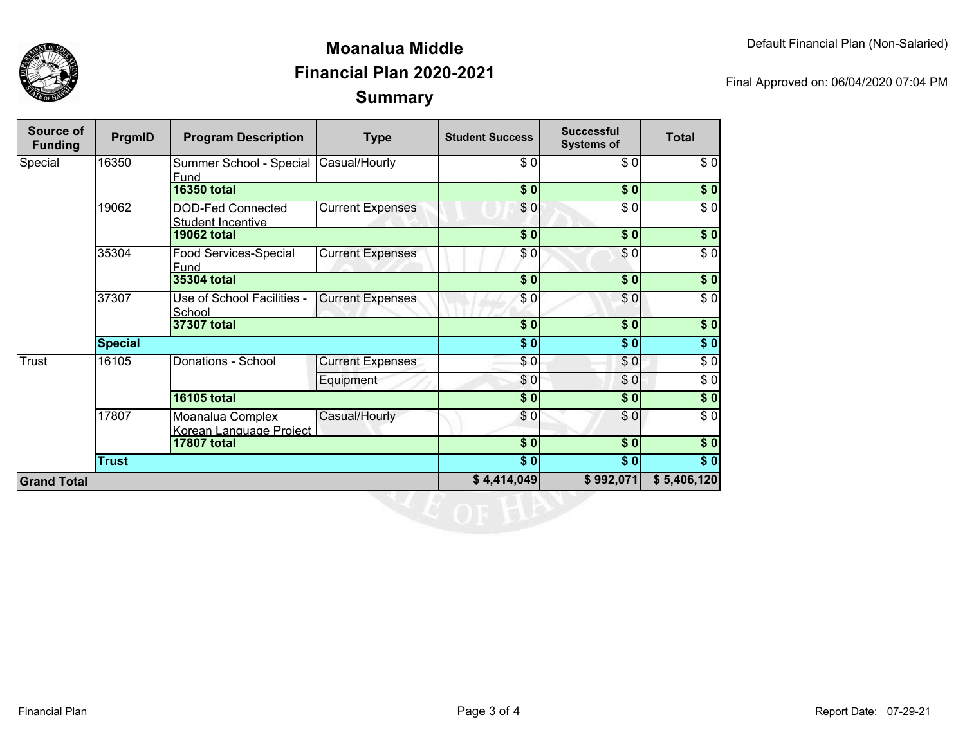

## **SummaryMoanalua MiddleFinancial Plan 2020-2021**

Final Approved on: 06/04/2020 07:04 PM

| <b>Source of</b><br><b>Funding</b> | PrgmID         | <b>Program Description</b>                           | <b>Type</b>             | <b>Student Success</b> | <b>Successful</b><br><b>Systems of</b> | <b>Total</b>     |
|------------------------------------|----------------|------------------------------------------------------|-------------------------|------------------------|----------------------------------------|------------------|
| Special                            | 16350          | Summer School - Special<br>Fund                      | Casual/Hourly           | \$0                    | \$0                                    | \$0              |
|                                    |                | <b>16350 total</b>                                   |                         | \$0                    | \$0                                    | \$0              |
|                                    | 19062          | <b>DOD-Fed Connected</b><br><b>Student Incentive</b> | <b>Current Expenses</b> | \$0                    | \$0                                    | $\sqrt{6}$       |
|                                    |                | <b>19062 total</b>                                   |                         | $\frac{1}{2}$          | \$0                                    | \$0              |
|                                    | 35304          | <b>Food Services-Special</b><br>Fund                 | <b>Current Expenses</b> | \$0                    | \$0                                    | $\frac{3}{6}$    |
|                                    |                | <b>35304 total</b>                                   |                         | $\overline{\$0}$       | $\overline{\$0}$                       | $\frac{1}{2}$    |
|                                    | 37307          | Use of School Facilities -<br>School                 | <b>Current Expenses</b> | \$0                    | \$0                                    | $\sqrt{5}$       |
|                                    |                | 37307 total                                          |                         | \$0                    | \$0                                    | $\frac{1}{6}$    |
|                                    | <b>Special</b> |                                                      |                         | \$0                    | \$0                                    | $\sqrt{6}$       |
| <b>Trust</b>                       | 16105          | Donations - School                                   | <b>Current Expenses</b> | \$0                    | \$0                                    | $\overline{\$0}$ |
|                                    |                |                                                      | Equipment               | \$0                    | \$0                                    | $\sqrt{6}$       |
|                                    |                | <b>16105 total</b>                                   |                         | \$0                    | \$0                                    | \$0              |
|                                    | 17807          | Moanalua Complex<br>Korean Language Project          | Casual/Hourly           | \$0                    | \$0                                    | $\sqrt{6}$       |
|                                    |                | <b>17807 total</b>                                   |                         | $\sqrt{6}$             | $\sqrt{6}$                             | \$0              |
|                                    | <b>Trust</b>   |                                                      |                         | $\sqrt{6}$             | \$0                                    | \$0              |
| <b>Grand Total</b>                 |                |                                                      |                         | \$4,414,049            | \$992,071                              | \$5,406,120      |